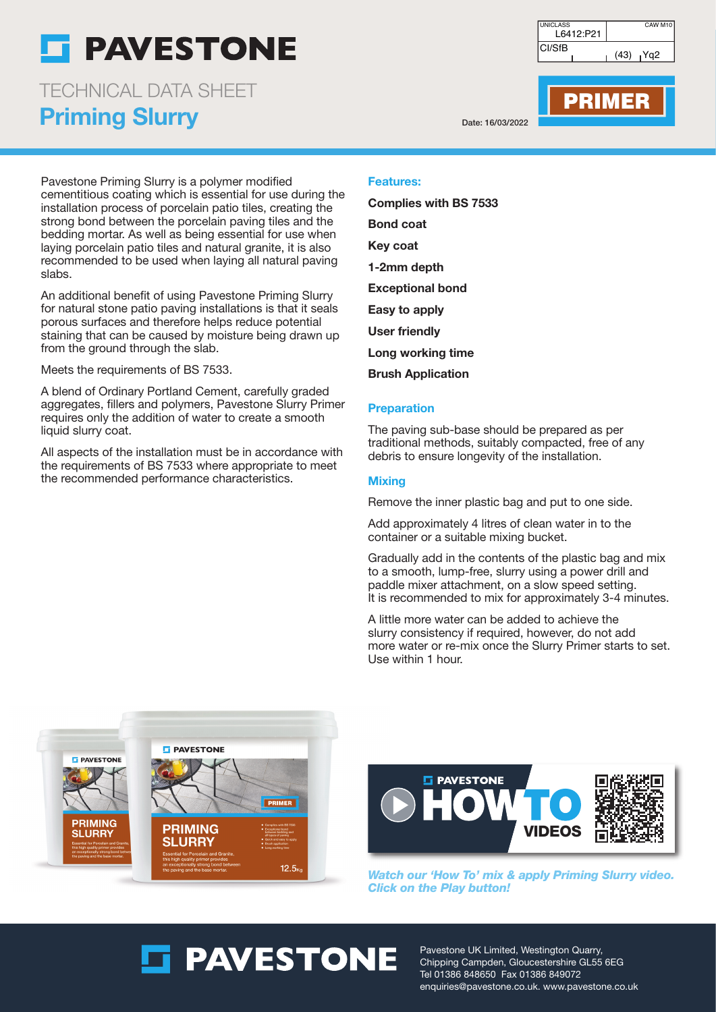## **PAVESTONE**

Priming Slurry TECHNICAL DATA SHEET

Pavestone Priming Slurry is a polymer modified cementitious coating which is essential for use during the installation process of porcelain patio tiles, creating the strong bond between the porcelain paving tiles and the bedding mortar. As well as being essential for use when laying porcelain patio tiles and natural granite, it is also recommended to be used when laying all natural paving slabs.

An additional benefit of using Pavestone Priming Slurry for natural stone patio paving installations is that it seals porous surfaces and therefore helps reduce potential staining that can be caused by moisture being drawn up from the ground through the slab.

Meets the requirements of BS 7533.

A blend of Ordinary Portland Cement, carefully graded aggregates, fillers and polymers, Pavestone Slurry Primer requires only the addition of water to create a smooth liquid slurry coat.

All aspects of the installation must be in accordance with the requirements of BS 7533 where appropriate to meet the recommended performance characteristics.

CI/SfB L6412:P21 UNICLASS **CAW M10**  $(43)$   $|Yq2$ 

Date: 16/03/2022

PRIMER

Features:

Complies with BS 7533 Bond coat Key coat 1-2mm depth Exceptional bond Easy to apply User friendly Long working time

Brush Application

### **Preparation**

The paving sub-base should be prepared as per traditional methods, suitably compacted, free of any debris to ensure longevity of the installation.

### **Mixing**

Remove the inner plastic bag and put to one side.

Add approximately 4 litres of clean water in to the container or a suitable mixing bucket.

Gradually add in the contents of the plastic bag and mix to a smooth, lump-free, slurry using a power drill and paddle mixer attachment, on a slow speed setting. It is recommended to mix for approximately 3-4 minutes.

A little more water can be added to achieve the slurry consistency if required, however, do not add more water or re-mix once the Slurry Primer starts to set. Use within 1 hour.

**E** PAVESTONE **FL PAVESTONE** PRIMER **PRIMING PRIMING SLURRY SLURRY**  $12.5$ 



**Watch our 'How To' mix & apply Priming Slurry video. Click on the Play button!**

# **ST PAVESTONE**

Pavestone UK Limited, Westington Quarry, Chipping Campden, Gloucestershire GL55 6EG Tel 01386 848650 Fax 01386 849072 enquiries@pavestone.co.uk. www.pavestone.co.uk